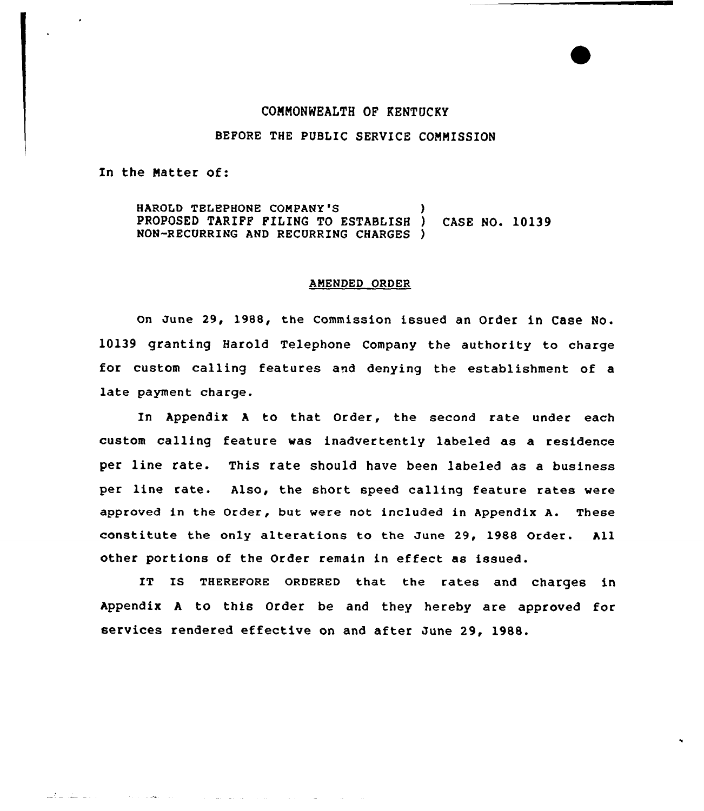## CONNONWEALTH OP KENTUCKY

### BEFORE THE PUBLIC SERVICE COMMISSION

In the Natter of:

المراديات البقيات لتأميل

**Subject Control** 

المتابعات القرابطا

HAROLD TELEPHONE COMPANY'S PROPOSED TARIPP PILING TO ESTABLlSH ) CASE NO. 10139 NON-RECURRING AND RECURRING CHARGES )

#### AMENDED ORDER

on June 29, 1988, the Commission issued an Order in Case No. 10139 granting Harold Telephone Company the authority to charge for custom calling features and denying the establishment of a late payment charge.

In Appendix <sup>A</sup> to that Order, the second rate under each custom calling feature was inadvertently labeled as a residence per line rate. This rate should have been labeled as a business per line rate. Also, the short speed calling feature rates were approved in the Order, but were not included in Appendix A. These constitute the only alterations to the June 29, l988 Order. All other portions of the Order remain in effect as issued.

IT Is THEREFoRE oRDERED that the rates and charges in Appendix <sup>A</sup> to this Order be and they hereby are approved for services rendered effective on and after June 29, 1988.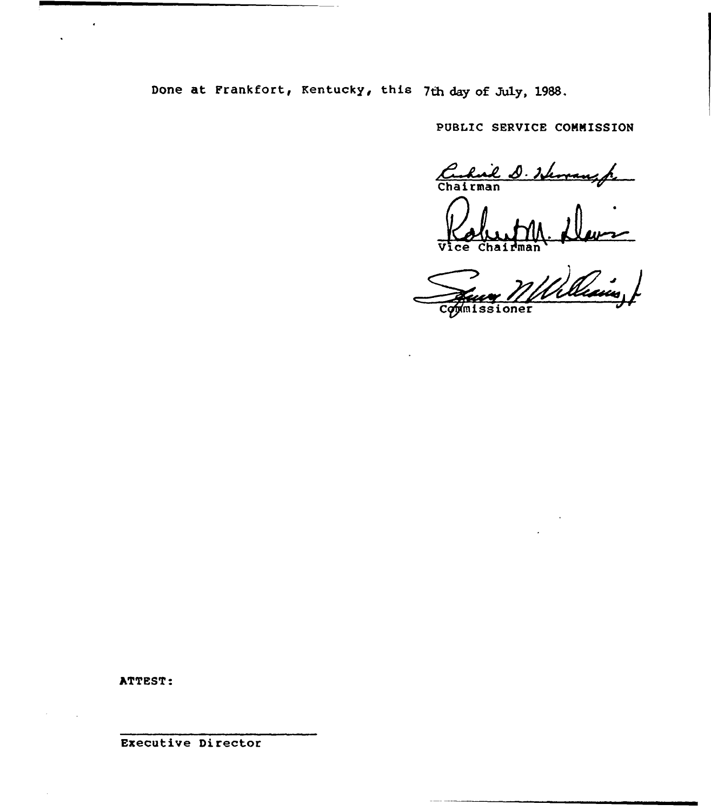Done at Frankfort, Kentucky, this 7th day of July, 1988.

PUBLIC SERVICE COMMISSION

 $\frac{\mathcal{L}}{\text{chai}}$ hail D. Herrauspe

Robert M. D  $\overline{\texttt{vice}}$ 

Comissioner

ATTEST:

Executive Director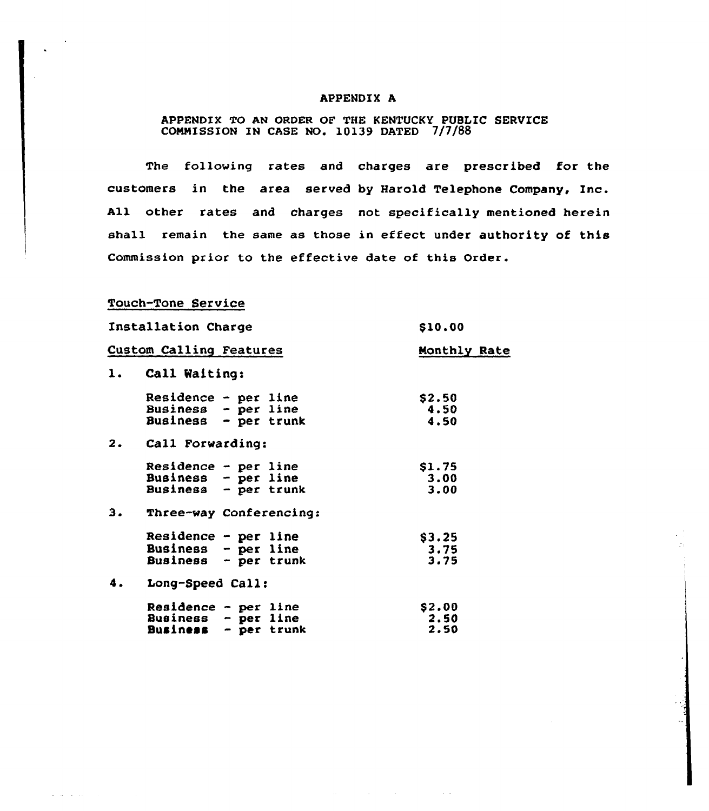#### APPENDIX A

# APPENDIX TO AN ORDER OF THE KENTUCKY PUBLIC SERUICE COMMISSION IN CASE NO. 10139 DATED 7/7/8

The following rates and charges are prescribed for the customers in the area served by Harold Telephone Company, Inc. All other rates and charges not specifically mentioned herein shall remain the same as those in effect under authority of this Commission prior to the effective date of this Order.

Touch-Tone Service

and a state of the

| Installation Charge     |                                                 |  |  | \$10.00      |
|-------------------------|-------------------------------------------------|--|--|--------------|
| Custom Calling Features |                                                 |  |  | Monthly Rate |
| 1.                      | Call Waiting:                                   |  |  |              |
|                         | Residence - per line                            |  |  | \$2.50       |
|                         | Business - per line<br>Business - per trunk     |  |  | 4.50<br>4.50 |
| 2.                      | Call Forwarding:                                |  |  |              |
|                         | Residence - per line                            |  |  | \$1.75       |
|                         | Business - per line<br>Business - per trunk     |  |  | 3.00<br>3.00 |
| з.                      | Three-way Conferencing:                         |  |  |              |
|                         | Residence - $per$ line                          |  |  | \$3.25       |
|                         | Business - per line<br>Business - per trunk     |  |  | 3.75<br>3.75 |
| 4.                      | Long-Speed Call:                                |  |  |              |
|                         | Residence - per line                            |  |  | \$2.00       |
|                         | Business $-$ per line<br>Business $-$ per trunk |  |  | 2.50<br>2.50 |

 $\mathcal{L}^{\mathcal{L}}$  and  $\mathcal{L}^{\mathcal{L}}$  are the set of the set of the set of  $\mathcal{L}^{\mathcal{L}}$